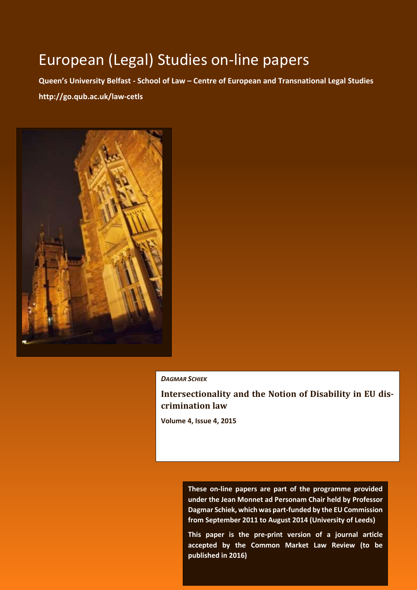# European (Legal) Studies on-line papers

**Queen's University Belfast - School of Law – Centre of European and Transnational Legal Studies http://go.qub.ac.uk/law-cetls**



#### *DAGMAR SCHIEK*

#### **Intersectionality and the Notion of Disability in EU discrimination law**

**Volume 4, Issue 4, 2015** 

**These on-line papers are part of the programme provided under the Jean Monnet ad Personam Chair held by Professor Dagmar Schiek, which was part-funded by the EU Commission from September 2011 to August 2014 (University of Leeds)**

published in 2016) **This paper is the pre-print version of a journal article accepted by the Common Market Law Review (to be**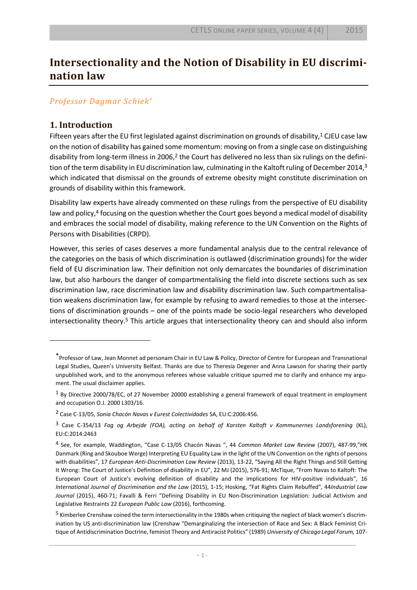## **Intersectionality and the Notion of Disability in EU discrimination law**

#### *Professor Dagmar Schiek\**

#### **1. Introduction**

<span id="page-1-0"></span> $\overline{a}$ 

Fifteen years after the EU first legislated against discrimination on grounds of disability,<sup>1</sup> CJEU case law on the notion of disability has gained some momentum: moving on from a single case on distinguishing disability from long-term illness in 2006, $2$  the Court has delivered no less than six rulings on the definition of the term disability in EU discrimination law, culminating in the Kaltoft ruling of December 2014,<sup>3</sup> which indicated that dismissal on the grounds of extreme obesity might constitute discrimination on grounds of disability within this framework.

<span id="page-1-1"></span>Disability law experts have already commented on these rulings from the perspective of EU disability law and policy,<sup>4</sup> focusing on the question whether the Court goes beyond a medical model of disability and embraces the social model of disability, making reference to the UN Convention on the Rights of Persons with Disabilities (CRPD).

However, this series of cases deserves a more fundamental analysis due to the central relevance of the categories on the basis of which discrimination is outlawed (discrimination grounds) for the wider field of EU discrimination law. Their definition not only demarcates the boundaries of discrimination law, but also harbours the danger of compartmentalising the field into discrete sections such as sex discrimination law, race discrimination law and disability discrimination law. Such compartmentalisation weakens discrimination law, for example by refusing to award remedies to those at the intersections of discrimination grounds – one of the points made be socio-legal researchers who developed intersectionality theory.<sup>5</sup> This article argues that intersectionality theory can and should also inform

<sup>\*</sup>Professor of Law, Jean Monnet ad personam Chair in EU Law & Policy, Director of Centre for European and Transnational Legal Studies, Queen's University Belfast. Thanks are due to Theresia Degener and Anna Lawson for sharing their partly unpublished work, and to the anonymous referees whose valuable critique spurred me to clarify and enhance my argument. The usual disclaimer applies.

<sup>1</sup> By Directive 2000/78/EC, of 27 November 20000 establishing a general framework of equal treatment in employment and occupation O.J. 2000 L303/16.

<sup>2</sup> Case C-13/05, *Sonia Chacón Navas v Eurest Colectividades* SA, EU:C:2006:456.

<sup>3</sup> Case C-354/13 *Fag og Arbejde (FOA), acting on behalf of Karsten Kaltoft v Kommunernes Landsforening* (KL), EU:C:2014:2463

<sup>4</sup> See, for example, Waddington, "Case C-13/05 Chacón Navas ", 44 *Common Market Law Review* (2007), 487-99,"HK Danmark (Ring and Skouboe Werge) Interpreting EU Equality Law in the light of the UN Convention on the rights of persons with disabilities", 17 *European Anti-Discrimination Law Review* (2013), 13-22, "Saying All the Right Things and Still Getting It Wrong: The Court of Justice's Definition of disability in EU", 22 MJ (2015), 576-91; McTique, "From Navas to Kaltoft: The European Court of Justice's evolving definition of disability and the implications for HIV-positive individuals", 16 *International Journal of Discrimination and the Law* (2015), 1-15; Hosking, "Fat Rights Claim Rebuffed", 44*Industrial Law Journal* (2015), 460-71; Favalli & Ferri "Defining Disability in EU Non-Discrimination Legislation: Judicial Activism and Legislative Restraints 22 *European Public Law* (2016), forthcoming.

<sup>&</sup>lt;sup>5</sup> Kimberlee Crenshaw coined the term intersectionality in the 1980s when critiquing the neglect of black women's discrimination by US anti-discrimination law (Crenshaw "Demarginalizing the intersection of Race and Sex: A Black Feminist Critique of Antidiscrimination Doctrine, feminist Theory and Antiracist Politics" (1989) *University of Chicago Legal Forum,* 107-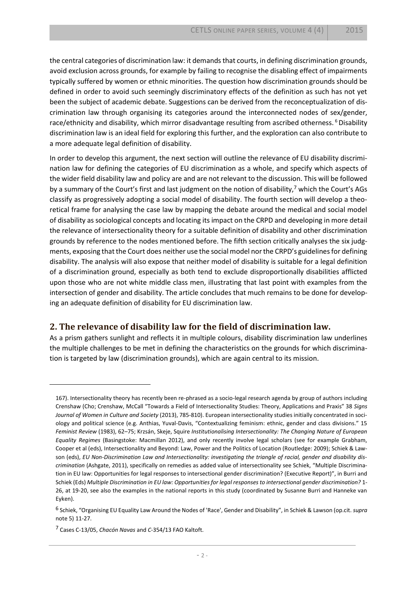the central categories of discrimination law: it demands that courts, in defining discrimination grounds, avoid exclusion across grounds, for example by failing to recognise the disabling effect of impairments typically suffered by women or ethnic minorities. The question how discrimination grounds should be defined in order to avoid such seemingly discriminatory effects of the definition as such has not yet been the subject of academic debate. Suggestions can be derived from the reconceptualization of discrimination law through organising its categories around the interconnected nodes of sex/gender, race/ethnicity and disability, which mirror disadvantage resulting from ascribed otherness. <sup>6</sup> Disability discrimination law is an ideal field for exploring this further, and the exploration can also contribute to a more adequate legal definition of disability.

<span id="page-2-0"></span>In order to develop this argument, the next section will outline the relevance of EU disability discrimination law for defining the categories of EU discrimination as a whole, and specify which aspects of the wider field disability law and policy are and are not relevant to the discussion. This will be followed by a summary of the Court's first and last judgment on the notion of disability,<sup>7</sup> which the Court's AGs classify as progressively adopting a social model of disability. The fourth section will develop a theoretical frame for analysing the case law by mapping the debate around the medical and social model of disability as sociological concepts and locating its impact on the CRPD and developing in more detail the relevance of intersectionality theory for a suitable definition of disability and other discrimination grounds by reference to the nodes mentioned before. The fifth section critically analyses the six judgments, exposing that the Court does neither use the social model nor the CRPD's guidelines for defining disability. The analysis will also expose that neither model of disability is suitable for a legal definition of a discrimination ground, especially as both tend to exclude disproportionally disabilities afflicted upon those who are not white middle class men, illustrating that last point with examples from the intersection of gender and disability. The article concludes that much remains to be done for developing an adequate definition of disability for EU discrimination law.

#### **2. The relevance of disability law for the field of discrimination law.**

As a prism gathers sunlight and reflects it in multiple colours, disability discrimination law underlines the multiple challenges to be met in defining the characteristics on the grounds for which discrimination is targeted by law (discrimination grounds), which are again central to its mission.

<sup>167).</sup> Intersectionality theory has recently been re-phrased as a socio-legal research agenda by group of authors including Crenshaw (Cho; Crenshaw, McCall "Towards a Field of Intersectionality Studies: Theory, Applications and Praxis" 38 *Signs Journal of Women in Culture and Society* (2013), 785-810). European intersectionality studies initially concentrated in sociology and political science (e.g. Anthias, Yuval-Davis, "Contextualizing feminism: ethnic, gender and class divisions." 15 *Feminist Review* (1983), 62–75; Krzsán, Skeje, Squire *Institutionalising Intersectionality: The Changing Nature of European Equality Regimes* (Basingstoke: Macmillan 2012), and only recently involve legal scholars (see for example Grabham, Cooper et al (eds), Intersectionality and Beyond: Law, Power and the Politics of Location (Routledge: 2009); Schiek & Lawson (eds), *EU Non-Discrimination Law and Intersectionality: investigating the triangle of racial, gender and disability discrimination* (Ashgate, 2011), specifically on remedies as added value of intersectionality see Schiek, "Multiple Discrimination in EU law: Opportunities for legal responses to intersectional gender discrimination? (Executive Report)", in Burri and Schiek (Eds) *Multiple Discrimination in EU law: Opportunities for legal responses to intersectional gender discrimination?* 1- 26, at 19-20, see also the examples in the national reports in this study (coordinated by Susanne Burri and Hanneke van Eyken).

<sup>6</sup> Schiek, "Organising EU Equality Law Around the Nodes of 'Race', Gender and Disability", in Schiek & Lawson (op.cit. *supra* not[e 5\)](#page-1-0) 11-27.

<sup>7</sup> Cases C-13/05, *Chacón Navas* and *C*-354/13 FAO Kaltoft.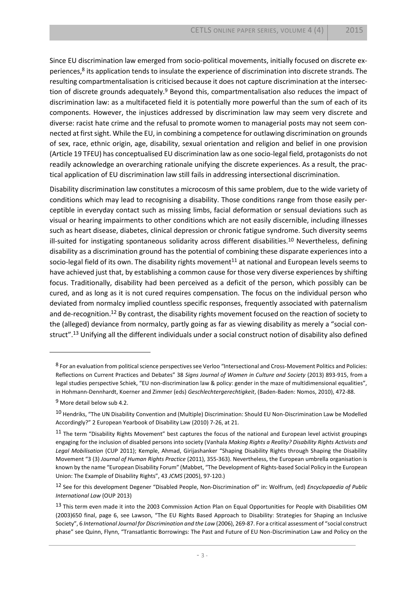<span id="page-3-0"></span>Since EU discrimination law emerged from socio-political movements, initially focused on discrete experiences,<sup>8</sup> its application tends to insulate the experience of discrimination into discrete strands. The resulting compartmentalisation is criticised because it does not capture discrimination at the intersection of discrete grounds adequately.<sup>9</sup> Beyond this, compartmentalisation also reduces the impact of discrimination law: as a multifaceted field it is potentially more powerful than the sum of each of its components. However, the injustices addressed by discrimination law may seem very discrete and diverse: racist hate crime and the refusal to promote women to managerial posts may not seem connected at first sight. While the EU, in combining a competence for outlawing discrimination on grounds of sex, race, ethnic origin, age, disability, sexual orientation and religion and belief in one provision (Article 19 TFEU) has conceptualised EU discrimination law as one socio-legal field, protagonists do not readily acknowledge an overarching rationale unifying the discrete experiences. As a result, the practical application of EU discrimination law still fails in addressing intersectional discrimination.

<span id="page-3-3"></span>Disability discrimination law constitutes a microcosm of this same problem, due to the wide variety of conditions which may lead to recognising a disability. Those conditions range from those easily perceptible in everyday contact such as missing limbs, facial deformation or sensual deviations such as visual or hearing impairments to other conditions which are not easily discernible, including illnesses such as heart disease, diabetes, clinical depression or chronic fatigue syndrome. Such diversity seems ill-suited for instigating spontaneous solidarity across different disabilities.<sup>10</sup> Nevertheless, defining disability as a discrimination ground has the potential of combining these disparate experiences into a socio-legal field of its own. The disability rights movement<sup>11</sup> at national and European levels seems to have achieved just that, by establishing a common cause for those very diverse experiences by shifting focus. Traditionally, disability had been perceived as a deficit of the person, which possibly can be cured, and as long as it is not cured requires compensation. The focus on the individual person who deviated from normalcy implied countless specific responses, frequently associated with paternalism and de-recognition.<sup>12</sup> By contrast, the disability rights movement focused on the reaction of society to the (alleged) deviance from normalcy, partly going as far as viewing disability as merely a "social construct".<sup>13</sup> Unifying all the different individuals under a social construct notion of disability also defined

<span id="page-3-2"></span><span id="page-3-1"></span>l

<sup>8</sup> For an evaluation from political science perspectives see Verloo "Intersectional and Cross-Movement Politics and Policies: Reflections on Current Practices and Debates" 38 *Signs Journal of Women in Culture and Society* (2013) 893-915, from a legal studies perspective Schiek, "EU non-discrimination law & policy: gender in the maze of multidimensional equalities", in Hohmann-Dennhardt, Koerner and Zimmer (eds) *Geschlechtergerechtigkeit*, (Baden-Baden: Nomos, 2010), 472-88.

<sup>9</sup> More detail below sub 4.2.

<sup>10</sup> Hendriks, "The UN Disability Convention and (Multiple) Discrimination: Should EU Non-Discrimination Law be Modelled Accordingly?" 2 European Yearbook of Disability Law (2010) 7-26, at 21.

<sup>&</sup>lt;sup>11</sup> The term "Disability Rights Movement" best captures the focus of the national and European level activist groupings engaging for the inclusion of disabled persons into society (Vanhala *Making Rights a Reality? Disability Rights Activists and Legal Mobilisation* (CUP 2011); Kemple, Ahmad, Girijashanker "Shaping Disability Rights through Shaping the Disability Movement "3 (3) *Journal of Human Rights Practice* (2011), 355-363). Nevertheless, the European umbrella organisation is known by the name "European Disability Forum" (Mabbet, "The Development of Rights-based Social Policy in the European Union: The Example of Disability Rights", 43 *JCMS* (2005), 97-120.)

<sup>12</sup> See for this development Degener "Disabled People, Non-Discrimination of" in: Wolfrum, (ed) *Encyclopaedia of Public International Law* (OUP 2013)

<sup>13</sup> This term even made it into the 2003 Commission Action Plan on Equal Opportunities for People with Disabilities OM (2003)650 final, page 6, see Lawson, "The EU Rights Based Approach to Disability: Strategies for Shaping an Inclusive Society", 6 *International Journal for Discrimination and the Law* (2006), 269-87. For a critical assessment of "social construct phase" see Quinn, Flynn, "Transatlantic Borrowings: The Past and Future of EU Non-Discrimination Law and Policy on the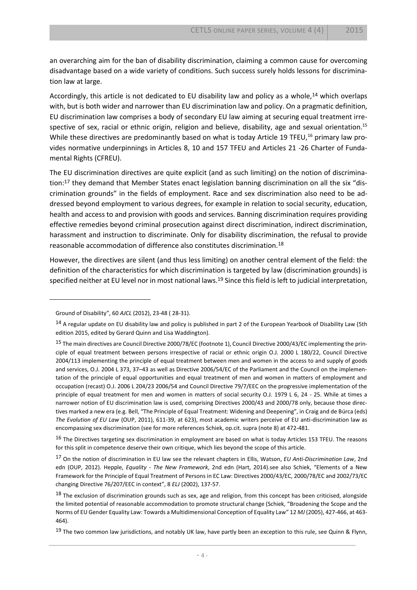an overarching aim for the ban of disability discrimination, claiming a common cause for overcoming disadvantage based on a wide variety of conditions. Such success surely holds lessons for discrimination law at large.

Accordingly, this article is not dedicated to EU disability law and policy as a whole,<sup>14</sup> which overlaps with, but is both wider and narrower than EU discrimination law and policy. On a pragmatic definition, EU discrimination law comprises a body of secondary EU law aiming at securing equal treatment irrespective of sex, racial or ethnic origin, religion and believe, disability, age and sexual orientation.<sup>15</sup> While these directives are predominantly based on what is today Article 19 TFEU,<sup>16</sup> primary law provides normative underpinnings in Articles 8, 10 and 157 TFEU and Articles 21 -26 Charter of Fundamental Rights (CFREU).

The EU discrimination directives are quite explicit (and as such limiting) on the notion of discrimination:<sup>17</sup> they demand that Member States enact legislation banning discrimination on all the six "discrimination grounds" in the fields of employment. Race and sex discrimination also need to be addressed beyond employment to various degrees, for example in relation to social security, education, health and access to and provision with goods and services. Banning discrimination requires providing effective remedies beyond criminal prosecution against direct discrimination, indirect discrimination, harassment and instruction to discriminate. Only for disability discrimination, the refusal to provide reasonable accommodation of difference also constitutes discrimination.<sup>18</sup>

<span id="page-4-0"></span>However, the directives are silent (and thus less limiting) on another central element of the field: the definition of the characteristics for which discrimination is targeted by law (discrimination grounds) is specified neither at EU level nor in most national laws.<sup>19</sup> Since this field is left to judicial interpretation,

Ground of Disability", 60 *AJCL* (2012), 23-48 ( 28-31).

 $14$  A regular update on EU disability law and policy is published in part 2 of the European Yearbook of Disability Law (5th edition 2015, edited by Gerard Quinn and Lisa Waddington).

<sup>&</sup>lt;sup>15</sup> The main directives are Council Directive 2000/78/EC (footnote 1), Council Directive 2000/43/EC implementing the principle of equal treatment between persons irrespective of racial or ethnic origin O.J. 2000 L 180/22, Council Directive 2004/113 implementing the principle of equal treatment between men and women in the access to and supply of goods and services, O.J. 2004 L 373, 37–43 as well as Directive 2006/54/EC of the Parliament and the Council on the implementation of the principle of equal opportunities and equal treatment of men and women in matters of employment and occupation (recast) O.J. 2006 L 204/23 2006/54 and Council Directive 79/7/EEC on the progressive implementation of the principle of equal treatment for men and women in matters of social security O.J. 1979 L 6, 24 - 25. While at times a narrower notion of EU discrimination law is used, comprising Directives 2000/43 and 2000/78 only, because those directives marked a new era (e.g. Bell, "The Principle of Equal Treatment: Widening and Deepening", in Craig and de Búrca (eds) *The Evolution of EU Law* (OUP, 2011), 611-39, at 623), most academic writers perceive of EU anti-discrimination law as encompassing sex discrimination (see for more references Schiek, op.cit. supra (note [8\)](#page-3-0) at 472-481.

 $16$  The Directives targeting sex discrimination in employment are based on what is today Articles 153 TFEU. The reasons for this split in competence deserve their own critique, which lies beyond the scope of this article.

<sup>17</sup> On the notion of discrimination in EU law see the relevant chapters in Ellis, Watson, *EU Anti-Discrimination Law*, 2nd edn (OUP, 2012). Hepple, *Equality - The New Framework*, 2nd edn (Hart, 2014).see also Schiek, "Elements of a New Framework for the Principle of Equal Treatment of Persons in EC Law: Directives 2000/43/EC, 2000/78/EC and 2002/73/EC changing Directive 76/207/EEC in context", 8 *ELJ* (2002), 137-57.

 $18$  The exclusion of discrimination grounds such as sex, age and religion, from this concept has been criticised, alongside the limited potential of reasonable accommodation to promote structural change (Schiek, "Broadening the Scope and the Norms of EU Gender Equality Law: Towards a Multidimensional Conception of Equality Law" 12 *MJ* (2005), 427-466, at 463- 464).

<sup>&</sup>lt;sup>19</sup> The two common law jurisdictions, and notably UK law, have partly been an exception to this rule, see Quinn & Flynn,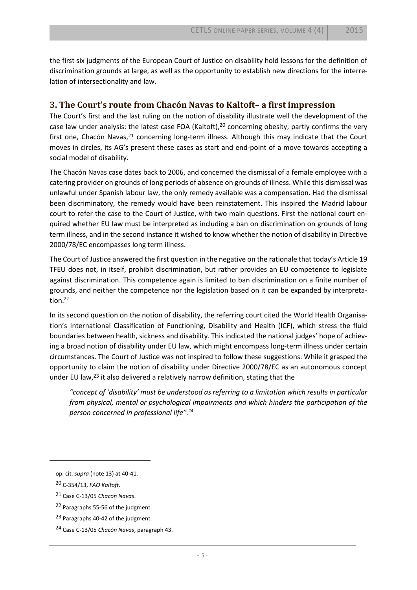the first six judgments of the European Court of Justice on disability hold lessons for the definition of discrimination grounds at large, as well as the opportunity to establish new directions for the interrelation of intersectionality and law.

#### **3. The Court's route from Chacón Navas to Kaltoft– a first impression**

The Court's first and the last ruling on the notion of disability illustrate well the development of the case law under analysis: the latest case FOA (Kaltoft),<sup>20</sup> concerning obesity, partly confirms the very first one, Chacón Navas,<sup>21</sup> concerning long-term illness. Although this may indicate that the Court moves in circles, its AG's present these cases as start and end-point of a move towards accepting a social model of disability.

The Chacón Navas case dates back to 2006, and concerned the dismissal of a female employee with a catering provider on grounds of long periods of absence on grounds of illness. While this dismissal was unlawful under Spanish labour law, the only remedy available was a compensation. Had the dismissal been discriminatory, the remedy would have been reinstatement. This inspired the Madrid labour court to refer the case to the Court of Justice, with two main questions. First the national court enquired whether EU law must be interpreted as including a ban on discrimination on grounds of long term illness, and in the second instance it wished to know whether the notion of disability in Directive 2000/78/EC encompasses long term illness.

The Court of Justice answered the first question in the negative on the rationale that today's Article 19 TFEU does not, in itself, prohibit discrimination, but rather provides an EU competence to legislate against discrimination. This competence again is limited to ban discrimination on a finite number of grounds, and neither the competence nor the legislation based on it can be expanded by interpretation.<sup>22</sup>

In its second question on the notion of disability, the referring court cited the World Health Organisation's International Classification of Functioning, Disability and Health (ICF), which stress the fluid boundaries between health, sickness and disability. This indicated the national judges' hope of achieving a broad notion of disability under EU law, which might encompass long-term illness under certain circumstances. The Court of Justice was not inspired to follow these suggestions. While it grasped the opportunity to claim the notion of disability under Directive 2000/78/EC as an autonomous concept under EU law,<sup>23</sup> it also delivered a relatively narrow definition, stating that the

*"concept of 'disability' must be understood as referring to a limitation which results in particular from physical, mental or psychological impairments and which hinders the participation of the person concerned in professional life".<sup>24</sup>*

op. cit. *supra* (not[e 13\)](#page-3-1) at 40-41.

<sup>20</sup> C-354/13, *FAO Kaltoft*.

<sup>21</sup> Case C-13/05 *Chacon Navas*.

<sup>22</sup> Paragraphs 55-56 of the judgment.

<sup>23</sup> Paragraphs 40-42 of the judgment.

<sup>24</sup> Case C-13/05 *Chacón Navas*, paragraph 43.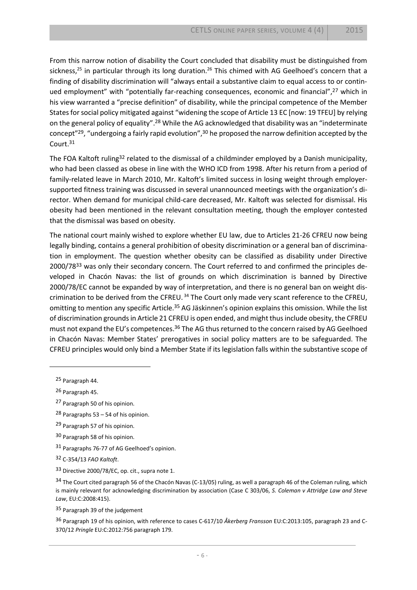From this narrow notion of disability the Court concluded that disability must be distinguished from sickness,<sup>25</sup> in particular through its long duration.<sup>26</sup> This chimed with AG Geelhoed's concern that a finding of disability discrimination will "always entail a substantive claim to equal access to or continued employment" with "potentially far-reaching consequences, economic and financial", <sup>27</sup> which in his view warranted a "precise definition" of disability, while the principal competence of the Member States for social policy mitigated against "widening the scope of Article 13 EC [now: 19 TFEU] by relying on the general policy of equality".<sup>28</sup> While the AG acknowledged that disability was an "indeterminate concept"<sup>29</sup>, "undergoing a fairly rapid evolution",<sup>30</sup> he proposed the narrow definition accepted by the Court.<sup>31</sup>

The FOA Kaltoft ruling<sup>32</sup> related to the dismissal of a childminder employed by a Danish municipality, who had been classed as obese in line with the WHO ICD from 1998. After his return from a period of family-related leave in March 2010, Mr. Kaltoft's limited success in losing weight through employersupported fitness training was discussed in several unannounced meetings with the organization's director. When demand for municipal child-care decreased, Mr. Kaltoft was selected for dismissal. His obesity had been mentioned in the relevant consultation meeting, though the employer contested that the dismissal was based on obesity.

The national court mainly wished to explore whether EU law, due to Articles 21-26 CFREU now being legally binding, contains a general prohibition of obesity discrimination or a general ban of discrimination in employment. The question whether obesity can be classified as disability under Directive 2000/78<sup>33</sup> was only their secondary concern. The Court referred to and confirmed the principles developed in Chacón Navas: the list of grounds on which discrimination is banned by Directive 2000/78/EC cannot be expanded by way of interpretation, and there is no general ban on weight discrimination to be derived from the CFREU.<sup>34</sup> The Court only made very scant reference to the CFREU, omitting to mention any specific Article.<sup>35</sup> AG Jäskinnen's opinion explains this omission. While the list of discrimination grounds in Article 21 CFREU is open ended, and might thus include obesity, the CFREU must not expand the EU's competences.<sup>36</sup> The AG thus returned to the concern raised by AG Geelhoed in Chacón Navas: Member States' prerogatives in social policy matters are to be safeguarded. The CFREU principles would only bind a Member State if its legislation falls within the substantive scope of

25 Paragraph 44.

 $\overline{a}$ 

26 Paragraph 45.

27 Paragraph 50 of his opinion.

<sup>28</sup> Paragraphs 53 – 54 of his opinion.

29 Paragraph 57 of his opinion.

30 Paragraph 58 of his opinion.

31 Paragraphs 76-77 of AG Geelhoed's opinion.

32 C-354/13 *FAO Kaltoft*.

33 Directive 2000/78/EC, op. cit., supra note 1.

<sup>34</sup> The Court cited paragraph 56 of the Chacón Navas (C-13/05) ruling, as well a paragraph 46 of the Coleman ruling, which is mainly relevant for acknowledging discrimination by association (Case C 303/06, *S. Coleman v Attridge Law and Steve Law*, EU:C:2008:415).

35 Paragraph 39 of the judgement

36 Paragraph 19 of his opinion, with reference to cases C-617/10 *Åkerberg Fransson* EU:C:2013:105, paragraph 23 and C-370/12 *Pringle* EU:C:2012:756 paragraph 179.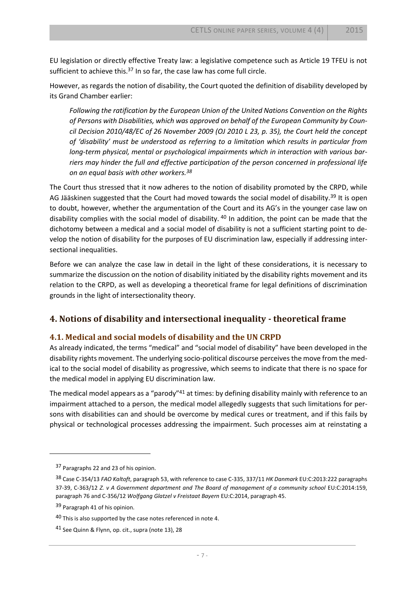EU legislation or directly effective Treaty law: a legislative competence such as Article 19 TFEU is not sufficient to achieve this.<sup>37</sup> In so far, the case law has come full circle.

However, as regards the notion of disability, the Court quoted the definition of disability developed by its Grand Chamber earlier:

<span id="page-7-0"></span>*Following the ratification by the European Union of the United Nations Convention on the Rights of Persons with Disabilities, which was approved on behalf of the European Community by Council Decision 2010/48/EC of 26 November 2009 (OJ 2010 L 23, p. 35), the Court held the concept of 'disability' must be understood as referring to a limitation which results in particular from*  long-term physical, mental or psychological impairments which in interaction with various bar*riers may hinder the full and effective participation of the person concerned in professional life on an equal basis with other workers.<sup>38</sup>*

The Court thus stressed that it now adheres to the notion of disability promoted by the CRPD, while AG Jääskinen suggested that the Court had moved towards the social model of disability.<sup>39</sup> It is open to doubt, however, whether the argumentation of the Court and its AG's in the younger case law on disability complies with the social model of disability. <sup>40</sup> In addition, the point can be made that the dichotomy between a medical and a social model of disability is not a sufficient starting point to develop the notion of disability for the purposes of EU discrimination law, especially if addressing intersectional inequalities.

Before we can analyze the case law in detail in the light of these considerations, it is necessary to summarize the discussion on the notion of disability initiated by the disability rights movement and its relation to the CRPD, as well as developing a theoretical frame for legal definitions of discrimination grounds in the light of intersectionality theory.

#### **4. Notions of disability and intersectional inequality - theoretical frame**

#### **4.1. Medical and social models of disability and the UN CRPD**

As already indicated, the terms "medical" and "social model of disability" have been developed in the disability rights movement. The underlying socio-political discourse perceives the move from the medical to the social model of disability as progressive, which seems to indicate that there is no space for the medical model in applying EU discrimination law.

The medical model appears as a "parody"<sup>41</sup> at times: by defining disability mainly with reference to an impairment attached to a person, the medical model allegedly suggests that such limitations for persons with disabilities can and should be overcome by medical cures or treatment, and if this fails by physical or technological processes addressing the impairment. Such processes aim at reinstating a

<sup>37</sup> Paragraphs 22 and 23 of his opinion.

<sup>38</sup> Case C-354/13 *FAO Kaltoft*, paragraph 53, with reference to case C-335, 337/11 *HK Danmark* EU:C:2013:222 paragraphs 37-39, C-363/12 *Z. v A Government department and The Board of management of a community school* EU:C:2014:159, paragraph 76 and C-356/12 *Wolfgang Glatzel v Freistaat Bayern* EU:C:2014, paragraph 45.

<sup>39</sup> Paragraph 41 of his opinion.

 $40$  This is also supported by the case notes referenced in not[e 4.](#page-1-1)

<sup>41</sup> See Quinn & Flynn, op. cit., supra (not[e 13\)](#page-3-1), 28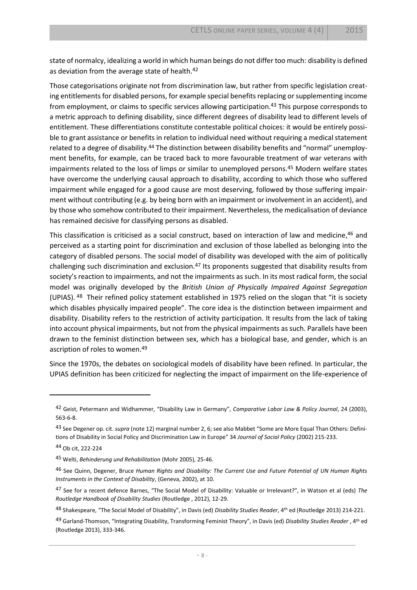state of normalcy, idealizing a world in which human beings do not differ too much: disability is defined as deviation from the average state of health.<sup>42</sup>

Those categorisations originate not from discrimination law, but rather from specific legislation creating entitlements for disabled persons, for example special benefits replacing or supplementing income from employment, or claims to specific services allowing participation. <sup>43</sup> This purpose corresponds to a metric approach to defining disability, since different degrees of disability lead to different levels of entitlement. These differentiations constitute contestable political choices: it would be entirely possible to grant assistance or benefits in relation to individual need without requiring a medical statement related to a degree of disability.<sup>44</sup> The distinction between disability benefits and "normal" unemployment benefits, for example, can be traced back to more favourable treatment of war veterans with impairments related to the loss of limps or similar to unemployed persons.<sup>45</sup> Modern welfare states have overcome the underlying causal approach to disability, according to which those who suffered impairment while engaged for a good cause are most deserving, followed by those suffering impairment without contributing (e.g. by being born with an impairment or involvement in an accident), and by those who somehow contributed to their impairment. Nevertheless, the medicalisation of deviance has remained decisive for classifying persons as disabled.

<span id="page-8-1"></span><span id="page-8-0"></span>This classification is criticised as a social construct, based on interaction of law and medicine, <sup>46</sup> and perceived as a starting point for discrimination and exclusion of those labelled as belonging into the category of disabled persons. The social model of disability was developed with the aim of politically challenging such discrimination and exclusion.<sup>47</sup> Its proponents suggested that disability results from society's reaction to impairments, and not the impairments as such. In its most radical form, the social model was originally developed by the *British Union of Physically Impaired Against Segregation* (UPIAS). <sup>48</sup> Their refined policy statement established in 1975 relied on the slogan that "it is society which disables physically impaired people". The core idea is the distinction between impairment and disability. Disability refers to the restriction of activity participation. It results from the lack of taking into account physical impairments, but not from the physical impairments as such. Parallels have been drawn to the feminist distinction between sex, which has a biological base, and gender, which is an ascription of roles to women.<sup>49</sup>

Since the 1970s, the debates on sociological models of disability have been refined. In particular, the UPIAS definition has been criticized for neglecting the impact of impairment on the life-experience of

<sup>42</sup> Geist, Petermann and Widhammer, "Disability Law in Germany", *Comparative Labor Law & Policy Journal*, 24 (2003), 563-6-8.

<sup>43</sup> See Degener op. cit. *supra* (not[e 12](#page-3-2)) marginal number 2, 6; see also Mabbet "Some are More Equal Than Others: Definitions of Disability in Social Policy and Discrimination Law in Europe" 34 *Journal of Social Policy* (2002) 215-233.

<sup>44</sup> Ob cit, 222-224

<sup>45</sup> Welti, *Behinderung und Rehabilitation* (Mohr 2005), 25-46.

<sup>46</sup> See Quinn, Degener, Bruce *Human Rights and Disability: The Current Use and Future Potential of UN Human Rights Instruments in the Context of Disability*, (Geneva, 2002), at 10.

<sup>47</sup> See for a recent defence Barnes, "The Social Model of Disability: Valuable or Irrelevant?", in Watson et al (eds) *The Routledge Handbook of Disability Studies* (Routledge , 2012), 12-29.

<sup>48</sup> Shakespeare, "The Social Model of Disability", in Davis (ed) *Disability Studies Reader*, 4th ed (Routledge 2013) 214-221.

<sup>49</sup> Garland-Thomson, "Integrating Disability, Transforming Feminist Theory", in Davis (ed) *Disability Studies Reader* , 4th ed (Routledge 2013), 333-346.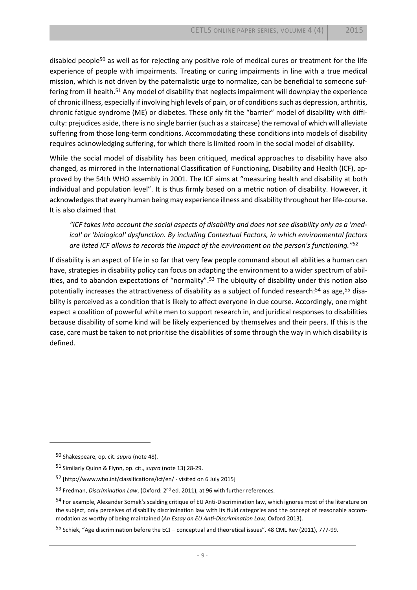disabled people<sup>50</sup> as well as for rejecting any positive role of medical cures or treatment for the life experience of people with impairments. Treating or curing impairments in line with a true medical mission, which is not driven by the paternalistic urge to normalize, can be beneficial to someone suffering from ill health.<sup>51</sup> Any model of disability that neglects impairment will downplay the experience of chronic illness, especially if involving high levels of pain, or of conditions such as depression, arthritis, chronic fatigue syndrome (ME) or diabetes. These only fit the "barrier" model of disability with difficulty: prejudices aside, there is no single barrier (such as a staircase) the removal of which will alleviate suffering from those long-term conditions. Accommodating these conditions into models of disability requires acknowledging suffering, for which there is limited room in the social model of disability.

While the social model of disability has been critiqued, medical approaches to disability have also changed, as mirrored in the International Classification of Functioning, Disability and Health (ICF), approved by the 54th WHO assembly in 2001. The ICF aims at "measuring health and disability at both individual and population level". It is thus firmly based on a metric notion of disability. However, it acknowledges that every human being may experience illness and disability throughout her life-course. It is also claimed that

*"ICF takes into account the social aspects of disability and does not see disability only as a 'medical' or 'biological' dysfunction. By including Contextual Factors, in which environmental factors are listed ICF allows to records the impact of the environment on the person's functioning."<sup>52</sup>* 

If disability is an aspect of life in so far that very few people command about all abilities a human can have, strategies in disability policy can focus on adapting the environment to a wider spectrum of abilities, and to abandon expectations of "normality".<sup>53</sup> The ubiquity of disability under this notion also potentially increases the attractiveness of disability as a subject of funded research:<sup>54</sup> as age,<sup>55</sup> disability is perceived as a condition that is likely to affect everyone in due course. Accordingly, one might expect a coalition of powerful white men to support research in, and juridical responses to disabilities because disability of some kind will be likely experienced by themselves and their peers. If this is the case, care must be taken to not prioritise the disabilities of some through the way in which disability is defined.

<sup>50</sup> Shakespeare, op. cit. *supra* (not[e 48\)](#page-8-0).

<sup>51</sup> Similarly Quinn & Flynn, op. cit., *supra* (not[e 13\)](#page-3-1) 28-29.

<sup>52</sup> [http://www.who.int/classifications/icf/en/ - visited on 6 July 2015]

<sup>53</sup> Fredman, *Discrimination Law*, (Oxford: 2nd ed. 2011), at 96 with further references.

<sup>54</sup> For example, Alexander Somek's scalding critique of EU Anti-Discrimination law, which ignores most of the literature on the subject, only perceives of disability discrimination law with its fluid categories and the concept of reasonable accommodation as worthy of being maintained (*An Essay on EU Anti-Discrimination Law,* Oxford 2013).

<sup>55</sup> Schiek, "Age discrimination before the ECJ – conceptual and theoretical issues", 48 CML Rev (2011), 777-99.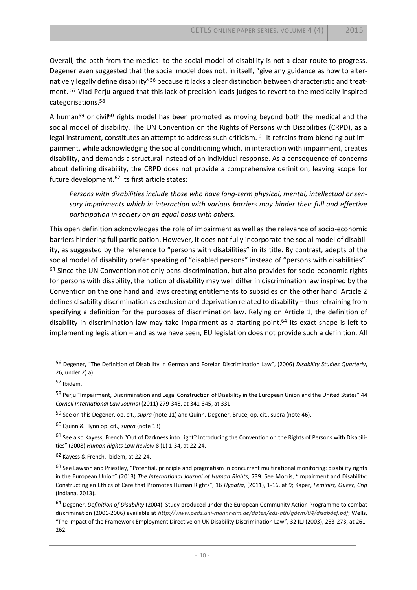Overall, the path from the medical to the social model of disability is not a clear route to progress. Degener even suggested that the social model does not, in itself, "give any guidance as how to alternatively legally define disability"<sup>56</sup> because it lacks a clear distinction between characteristic and treatment. <sup>57</sup> Vlad Perju argued that this lack of precision leads judges to revert to the medically inspired categorisations.<sup>58</sup>

A human<sup>59</sup> or civil<sup>60</sup> rights model has been promoted as moving beyond both the medical and the social model of disability. The UN Convention on the Rights of Persons with Disabilities (CRPD), as a legal instrument, constitutes an attempt to address such criticism. <sup>61</sup> It refrains from blending out impairment, while acknowledging the social conditioning which, in interaction with impairment, creates disability, and demands a structural instead of an individual response. As a consequence of concerns about defining disability, the CRPD does not provide a comprehensive definition, leaving scope for future development.<sup>62</sup> Its first article states:

*Persons with disabilities include those who have long-term physical, mental, intellectual or sensory impairments which in interaction with various barriers may hinder their full and effective participation in society on an equal basis with others.*

<span id="page-10-0"></span>This open definition acknowledges the role of impairment as well as the relevance of socio-economic barriers hindering full participation. However, it does not fully incorporate the social model of disability, as suggested by the reference to "persons with disabilities" in its title. By contrast, adepts of the social model of disability prefer speaking of "disabled persons" instead of "persons with disabilities". <sup>63</sup> Since the UN Convention not only bans discrimination, but also provides for socio-economic rights for persons with disability, the notion of disability may well differ in discrimination law inspired by the Convention on the one hand and laws creating entitlements to subsidies on the other hand. Article 2 defines disability discrimination as exclusion and deprivation related to disability – thus refraining from specifying a definition for the purposes of discrimination law. Relying on Article 1, the definition of disability in discrimination law may take impairment as a starting point.<sup>64</sup> Its exact shape is left to implementing legislation – and as we have seen, EU legislation does not provide such a definition. All

<sup>56</sup> Degener, "The Definition of Disability in German and Foreign Discrimination Law", (2006) *Disability Studies Quarterly*, 26, under 2) a).

<sup>57</sup> Ibidem.

<sup>58</sup> Perju "Impairment, Discrimination and Legal Construction of Disability in the European Union and the United States" 44 *Cornell International Law Journal* (2011) 279-348, at 341-345, at 331.

<sup>59</sup> See on this Degener, op. cit., *supra* (not[e 11\)](#page-3-3) and Quinn, Degener, Bruce, op. cit., supra (not[e 46\)](#page-8-1).

<sup>60</sup> Quinn & Flynn op. cit., *supra* (not[e 13\)](#page-3-1)

<sup>61</sup> See also Kavess, French "Out of Darkness into Light? Introducing the Convention on the Rights of Persons with Disabilities" (2008) *Human Rights Law Review* 8 (1) 1-34, at 22-24.

<sup>62</sup> Kayess & French, ibidem, at 22-24.

 $63$  See Lawson and Priestley, "Potential, principle and pragmatism in concurrent multinational monitoring: disability rights in the European Union" (2013) *The International Journal of Human Rights*, 739. See Morris, "Impairment and Disability: Constructing an Ethics of Care that Promotes Human Rights", 16 *Hypatia*, (2011), 1-16, at 9; Kaper, *Feminist, Queer, Crip* (Indiana, 2013).

<sup>64</sup> Degener, *Definition of Disability* (2004). Study produced under the European Community Action Programme to combat discrimination (2001-2006) available at *<http://www.pedz.uni-mannheim.de/daten/edz-ath/gdem/04/disabdef.pdf>*; Wells, "The Impact of the Framework Employment Directive on UK Disability Discrimination Law", 32 ILJ (2003), 253-273, at 261- 262.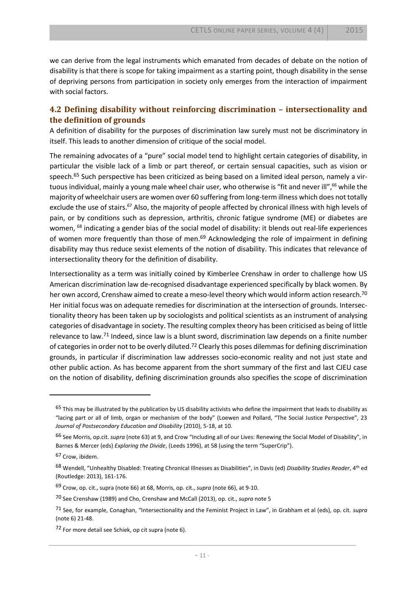we can derive from the legal instruments which emanated from decades of debate on the notion of disability is that there is scope for taking impairment as a starting point, though disability in the sense of depriving persons from participation in society only emerges from the interaction of impairment with social factors.

#### **4.2 Defining disability without reinforcing discrimination – intersectionality and the definition of grounds**

A definition of disability for the purposes of discrimination law surely must not be discriminatory in itself. This leads to another dimension of critique of the social model.

<span id="page-11-2"></span><span id="page-11-0"></span>The remaining advocates of a "pure" social model tend to highlight certain categories of disability, in particular the visible lack of a limb or part thereof, or certain sensual capacities, such as vision or speech.<sup>65</sup> Such perspective has been criticized as being based on a limited ideal person, namely a virtuous individual, mainly a young male wheel chair user, who otherwise is "fit and never ill",<sup>66</sup> while the majority of wheelchair users are women over 60 suffering from long-term illness which does not totally exclude the use of stairs.<sup>67</sup> Also, the majority of people affected by chronical illness with high levels of pain, or by conditions such as depression, arthritis, chronic fatigue syndrome (ME) or diabetes are women, <sup>68</sup> indicating a gender bias of the social model of disability: it blends out real-life experiences of women more frequently than those of men.<sup>69</sup> Acknowledging the role of impairment in defining disability may thus reduce sexist elements of the notion of disability. This indicates that relevance of intersectionality theory for the definition of disability.

<span id="page-11-1"></span>Intersectionality as a term was initially coined by Kimberlee Crenshaw in order to challenge how US American discrimination law de-recognised disadvantage experienced specifically by black women. By her own accord, Crenshaw aimed to create a meso-level theory which would inform action research.<sup>70</sup> Her initial focus was on adequate remedies for discrimination at the intersection of grounds. Intersectionality theory has been taken up by sociologists and political scientists as an instrument of analysing categories of disadvantage in society. The resulting complex theory has been criticised as being of little relevance to law.<sup>71</sup> Indeed, since law is a blunt sword, discrimination law depends on a finite number of categories in order not to be overly diluted.<sup>72</sup> Clearly this poses dilemmas for defining discrimination grounds, in particular if discrimination law addresses socio-economic reality and not just state and other public action. As has become apparent from the short summary of the first and last CJEU case on the notion of disability, defining discrimination grounds also specifies the scope of discrimination

<sup>&</sup>lt;sup>65</sup> This may be illustrated by the publication by US disability activists who define the impairment that leads to disability as "lacing part or all of limb, organ or mechanism of the body" (Loewen and Pollard, "The Social Justice Perspective", 23 *Journal of Postsecondary Education and Disability* (2010), 5-18, at 10.

<sup>66</sup> See Morris, op.cit. *supra* (not[e 63\)](#page-10-0) at 9, and Crow "Including all of our Lives: Renewing the Social Model of Disability", in Barnes & Mercer (eds) *Exploring the Divide*, (Leeds 1996), at 58 (using the term "SuperCrip").

<sup>67</sup> Crow, ibidem.

<sup>68</sup> Wendell, "Unhealthy Disabled: Treating Chronical Illnesses as Disabilities", in Davis (ed) *Disability Studies Reader*, 4th ed (Routledge: 2013), 161-176.

<sup>69</sup> Crow, op. cit., supra (not[e 66\)](#page-11-0) at 68, Morris, op. cit., *supra* (not[e 66\)](#page-11-0), at 9-10.

<sup>70</sup> See Crenshaw (1989) and Cho, Crenshaw and McCall (2013), op. cit., *supra* not[e 5](#page-1-0)

<sup>71</sup> See, for example, Conaghan, "Intersectionality and the Feminist Project in Law", in Grabham et al (eds), op. cit. *supra* (note 6) 21-48.

<sup>72</sup> For more detail see Schiek, op cit supra (not[e 6\)](#page-2-0).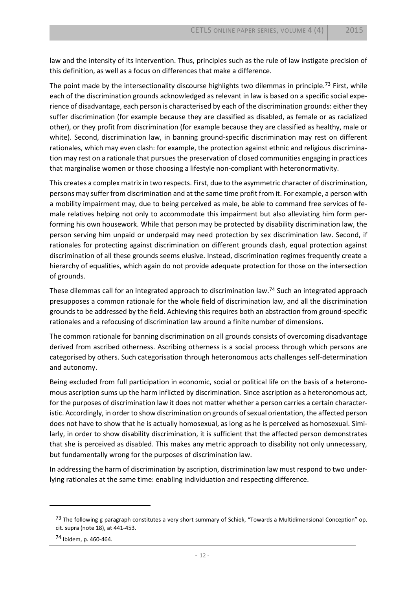law and the intensity of its intervention. Thus, principles such as the rule of law instigate precision of this definition, as well as a focus on differences that make a difference.

The point made by the intersectionality discourse highlights two dilemmas in principle.<sup>73</sup> First, while each of the discrimination grounds acknowledged as relevant in law is based on a specific social experience of disadvantage, each person is characterised by each of the discrimination grounds: either they suffer discrimination (for example because they are classified as disabled, as female or as racialized other), or they profit from discrimination (for example because they are classified as healthy, male or white). Second, discrimination law, in banning ground-specific discrimination may rest on different rationales, which may even clash: for example, the protection against ethnic and religious discrimination may rest on a rationale that pursues the preservation of closed communities engaging in practices that marginalise women or those choosing a lifestyle non-compliant with heteronormativity.

This creates a complex matrix in two respects. First, due to the asymmetric character of discrimination, persons may suffer from discrimination and at the same time profit from it. For example, a person with a mobility impairment may, due to being perceived as male, be able to command free services of female relatives helping not only to accommodate this impairment but also alleviating him form performing his own housework. While that person may be protected by disability discrimination law, the person serving him unpaid or underpaid may need protection by sex discrimination law. Second, if rationales for protecting against discrimination on different grounds clash, equal protection against discrimination of all these grounds seems elusive. Instead, discrimination regimes frequently create a hierarchy of equalities, which again do not provide adequate protection for those on the intersection of grounds.

These dilemmas call for an integrated approach to discrimination law.<sup>74</sup> Such an integrated approach presupposes a common rationale for the whole field of discrimination law, and all the discrimination grounds to be addressed by the field. Achieving this requires both an abstraction from ground-specific rationales and a refocusing of discrimination law around a finite number of dimensions.

The common rationale for banning discrimination on all grounds consists of overcoming disadvantage derived from ascribed otherness. Ascribing otherness is a social process through which persons are categorised by others. Such categorisation through heteronomous acts challenges self-determination and autonomy.

Being excluded from full participation in economic, social or political life on the basis of a heteronomous ascription sums up the harm inflicted by discrimination. Since ascription as a heteronomous act, for the purposes of discrimination law it does not matter whether a person carries a certain characteristic. Accordingly, in order to show discrimination on grounds of sexual orientation, the affected person does not have to show that he is actually homosexual, as long as he is perceived as homosexual. Similarly, in order to show disability discrimination, it is sufficient that the affected person demonstrates that she is perceived as disabled. This makes any metric approach to disability not only unnecessary, but fundamentally wrong for the purposes of discrimination law.

In addressing the harm of discrimination by ascription, discrimination law must respond to two underlying rationales at the same time: enabling individuation and respecting difference.

<sup>73</sup> The following g paragraph constitutes a very short summary of Schiek, "Towards a Multidimensional Conception" op. cit. supra (note [18\)](#page-4-0), at 441-453.

<sup>74</sup> Ibidem, p. 460-464.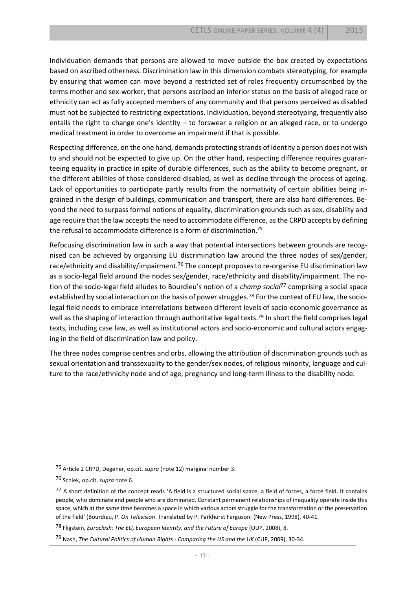Individuation demands that persons are allowed to move outside the box created by expectations based on ascribed otherness. Discrimination law in this dimension combats stereotyping, for example by ensuring that women can move beyond a restricted set of roles frequently circumscribed by the terms mother and sex-worker, that persons ascribed an inferior status on the basis of alleged race or ethnicity can act as fully accepted members of any community and that persons perceived as disabled must not be subjected to restricting expectations. Individuation, beyond stereotyping, frequently also entails the right to change one's identity – to forswear a religion or an alleged race, or to undergo medical treatment in order to overcome an impairment if that is possible.

Respecting difference, on the one hand, demands protecting strands of identity a person does not wish to and should not be expected to give up. On the other hand, respecting difference requires guaranteeing equality in practice in spite of durable differences, such as the ability to become pregnant, or the different abilities of those considered disabled, as well as decline through the process of ageing. Lack of opportunities to participate partly results from the normativity of certain abilities being ingrained in the design of buildings, communication and transport, there are also hard differences. Beyond the need to surpass formal notions of equality, discrimination grounds such as sex, disability and age require that the law accepts the need to accommodate difference, as the CRPD accepts by defining the refusal to accommodate difference is a form of discrimination.<sup>75</sup>

Refocusing discrimination law in such a way that potential intersections between grounds are recognised can be achieved by organising EU discrimination law around the three nodes of sex/gender, race/ethnicity and disability/impairment.<sup>76</sup> The concept proposes to re-organise EU discrimination law as a socio-legal field around the nodes sex/gender, race/ethnicity and disability/impairment. The notion of the socio-legal field alludes to Bourdieu's notion of a *champ social*<sup>77</sup> comprising a social space established by social interaction on the basis of power struggles.<sup>78</sup> For the context of EU law, the sociolegal field needs to embrace interrelations between different levels of socio-economic governance as well as the shaping of interaction through authoritative legal texts.<sup>79</sup> In short the field comprises legal texts, including case law, as well as institutional actors and socio-economic and cultural actors engaging in the field of discrimination law and policy.

The three nodes comprise centres and orbs, allowing the attribution of discrimination grounds such as sexual orientation and transsexuality to the gender/sex nodes, of religious minority, language and culture to the race/ethnicity node and of age, pregnancy and long-term illness to the disability node.

l

<sup>75</sup> Article 2 CRPD, Degener, op.cit. *supra* (not[e 12\)](#page-3-2) marginal number 3.

<sup>76</sup> Schiek, op.cit. *supra* not[e 6.](#page-2-0)

<sup>77</sup> A short definition of the concept reads 'A field is a structured social space, a field of forces, a force field. It contains people, who dominate and people who are dominated. Constant permanent relationships of inequality operate inside this space, which at the same time becomes a space in which various actors struggle for the transformation or the preservation of the field' (Bourdieu, P. *On Television*. Translated by P. Parkhurst Ferguson. (New Press, 1998), 40-41.

<sup>78</sup> Fligstein, *Euroclash: The EU, European Identity, and the Future of Europe* (OUP, 2008), 8.

<sup>79</sup> Nash, *The Cultural Politics of Human Rights - Comparing the US and the UK* (CUP, 2009), 30-34.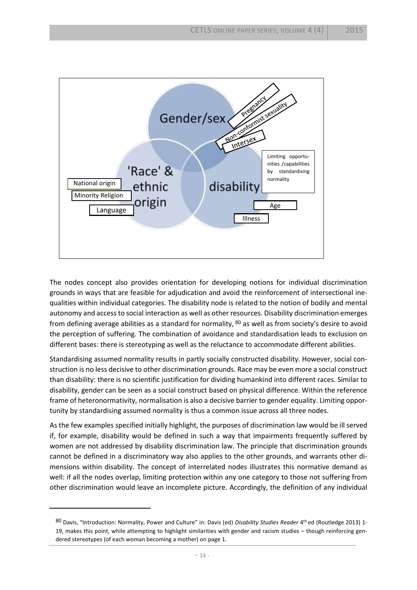

The nodes concept also provides orientation for developing notions for individual discrimination grounds in ways that are feasible for adjudication and avoid the reinforcement of intersectional inequalities within individual categories. The disability node is related to the notion of bodily and mental autonomy and access to social interaction as well as other resources. Disability discrimination emerges from defining average abilities as a standard for normality, <sup>80</sup> as well as from society's desire to avoid the perception of suffering. The combination of avoidance and standardisation leads to exclusion on different bases: there is stereotyping as well as the reluctance to accommodate different abilities.

Standardising assumed normality results in partly socially constructed disability. However, social construction is no less decisive to other discrimination grounds. Race may be even more a social construct than disability: there is no scientific justification for dividing humankind into different races. Similar to disability, gender can be seen as a social construct based on physical difference. Within the reference frame of heteronormativity, normalisation is also a decisive barrier to gender equality. Limiting opportunity by standardising assumed normality is thus a common issue across all three nodes.

As the few examples specified initially highlight, the purposes of discrimination law would be ill served if, for example, disability would be defined in such a way that impairments frequently suffered by women are not addressed by disability discrimination law. The principle that discrimination grounds cannot be defined in a discriminatory way also applies to the other grounds, and warrants other dimensions within disability. The concept of interrelated nodes illustrates this normative demand as well: if all the nodes overlap, limiting protection within any one category to those not suffering from other discrimination would leave an incomplete picture. Accordingly, the definition of any individual

<sup>&</sup>lt;sup>80</sup> Davis, "Introduction: Normality, Power and Culture" in: Davis (ed) Disability Studies Reader 4<sup>th</sup> ed (Routledge 2013) 1-19, makes this point, while attempting to highlight similarities with gender and racism studies – though reinforcing gendered stereotypes (of each woman becoming a mother) on page 1.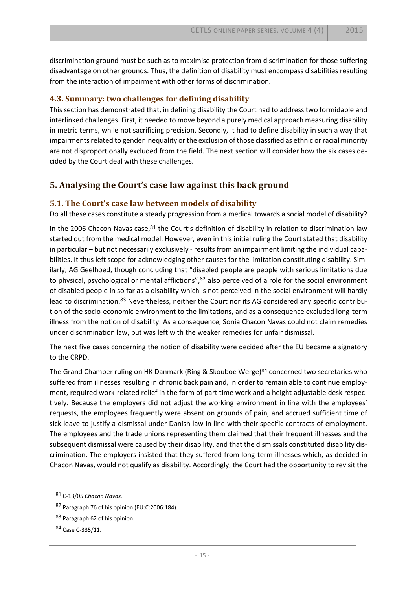discrimination ground must be such as to maximise protection from discrimination for those suffering disadvantage on other grounds. Thus, the definition of disability must encompass disabilities resulting from the interaction of impairment with other forms of discrimination.

#### **4.3. Summary: two challenges for defining disability**

This section has demonstrated that, in defining disability the Court had to address two formidable and interlinked challenges. First, it needed to move beyond a purely medical approach measuring disability in metric terms, while not sacrificing precision. Secondly, it had to define disability in such a way that impairments related to gender inequality or the exclusion of those classified as ethnic or racial minority are not disproportionally excluded from the field. The next section will consider how the six cases decided by the Court deal with these challenges.

#### **5. Analysing the Court's case law against this back ground**

#### **5.1. The Court's case law between models of disability**

Do all these cases constitute a steady progression from a medical towards a social model of disability?

In the 2006 Chacon Navas case, $81$  the Court's definition of disability in relation to discrimination law started out from the medical model. However, even in this initial ruling the Court stated that disability in particular – but not necessarily exclusively - results from an impairment limiting the individual capabilities. It thus left scope for acknowledging other causes for the limitation constituting disability. Similarly, AG Geelhoed, though concluding that "disabled people are people with serious limitations due to physical, psychological or mental afflictions",<sup>82</sup> also perceived of a role for the social environment of disabled people in so far as a disability which is not perceived in the social environment will hardly lead to discrimination.<sup>83</sup> Nevertheless, neither the Court nor its AG considered any specific contribution of the socio-economic environment to the limitations, and as a consequence excluded long-term illness from the notion of disability. As a consequence, Sonia Chacon Navas could not claim remedies under discrimination law, but was left with the weaker remedies for unfair dismissal.

The next five cases concerning the notion of disability were decided after the EU became a signatory to the CRPD.

The Grand Chamber ruling on HK Danmark (Ring & Skouboe Werge) $84$  concerned two secretaries who suffered from illnesses resulting in chronic back pain and, in order to remain able to continue employment, required work-related relief in the form of part time work and a height adjustable desk respectively. Because the employers did not adjust the working environment in line with the employees' requests, the employees frequently were absent on grounds of pain, and accrued sufficient time of sick leave to justify a dismissal under Danish law in line with their specific contracts of employment. The employees and the trade unions representing them claimed that their frequent illnesses and the subsequent dismissal were caused by their disability, and that the dismissals constituted disability discrimination. The employers insisted that they suffered from long-term illnesses which, as decided in Chacon Navas, would not qualify as disability. Accordingly, the Court had the opportunity to revisit the

l

<sup>81</sup> C-13/05 *Chacon Navas.*

<sup>82</sup> Paragraph 76 of his opinion (EU:C:2006:184).

<sup>83</sup> Paragraph 62 of his opinion.

<sup>84</sup> Case C-335/11.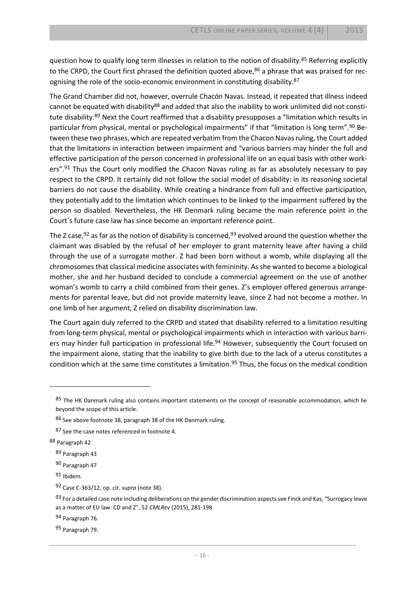question how to qualify long term illnesses in relation to the notion of disability.<sup>85</sup> Referring explicitly to the CRPD, the Court first phrased the definition quoted above,<sup>86</sup> a phrase that was praised for recognising the role of the socio-economic environment in constituting disability.<sup>87</sup>

The Grand Chamber did not, however, overrule Chacón Navas. Instead, it repeated that illness indeed cannot be equated with disability<sup>88</sup> and added that also the inability to work unlimited did not constitute disability.<sup>89</sup> Next the Court reaffirmed that a disability presupposes a "limitation which results in particular from physical, mental or psychological impairments" if that "limitation is long term".<sup>90</sup> Between these two phrases, which are repeated verbatim from the Chacon Navas ruling, the Court added that the limitations in interaction between impairment and "various barriers may hinder the full and effective participation of the person concerned in professional life on an equal basis with other workers".<sup>91</sup> Thus the Court only modified the Chacon Navas ruling as far as absolutely necessary to pay respect to the CRPD. It certainly did not follow the social model of disability: in its reasoning societal barriers do not cause the disability. While creating a hindrance from full and effective participation, they potentially add to the limitation which continues to be linked to the impairment suffered by the person so disabled. Nevertheless, the HK Denmark ruling became the main reference point in the Court`s future case law has since become an important reference point.

The Z case,  $92$  as far as the notion of disability is concerned,  $93$  evolved around the question whether the claimant was disabled by the refusal of her employer to grant maternity leave after having a child through the use of a surrogate mother. Z had been born without a womb, while displaying all the chromosomes that classical medicine associates with femininity. As she wanted to become a biological mother, she and her husband decided to conclude a commercial agreement on the use of another woman's womb to carry a child combined from their genes. Z's employer offered generous arrangements for parental leave, but did not provide maternity leave, since Z had not become a mother. In one limb of her argument, Z relied on disability discrimination law.

The Court again duly referred to the CRPD and stated that disability referred to a limitation resulting from long-term physical, mental or psychological impairments which in interaction with various barriers may hinder full participation in professional life.<sup>94</sup> However, subsequently the Court focused on the impairment alone, stating that the inability to give birth due to the lack of a uterus constitutes a condition which at the same time constitutes a limitation.<sup>95</sup> Thus, the focus on the medical condition

<sup>85</sup> The HK Danmark ruling also contains important statements on the concept of reasonable accommodation, which lie beyond the scope of this article.

<sup>86</sup> See above footnot[e 38,](#page-7-0) paragraph 38 of the HK Danmark ruling.

<sup>87</sup> See the case notes referenced in footnote [4.](#page-1-1)

<sup>88</sup> Paragraph 42

<sup>89</sup> Paragraph 43

<sup>90</sup> Paragraph 47

<sup>91</sup> Ibidem.

<sup>92</sup> Case C-363/12, op. cit. *supra* (not[e 38\)](#page-7-0).

<sup>93</sup> For a detailed case note including deliberations on the gender discrimination aspects see Finck and Kas, "Surrogacy leave as a matter of EU law: CD and Z", 52 *CMLRev* (2015), 281-198

<sup>94</sup> Paragraph 76.

<sup>95</sup> Paragraph 79.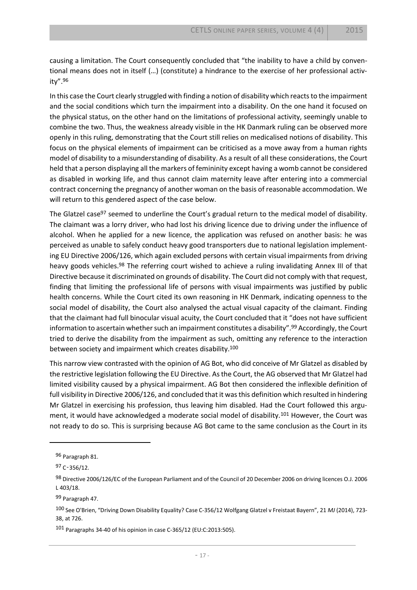causing a limitation. The Court consequently concluded that "the inability to have a child by conventional means does not in itself (…) (constitute) a hindrance to the exercise of her professional activity".<sup>96</sup>

In this case the Court clearly struggled with finding a notion of disability which reacts to the impairment and the social conditions which turn the impairment into a disability. On the one hand it focused on the physical status, on the other hand on the limitations of professional activity, seemingly unable to combine the two. Thus, the weakness already visible in the HK Danmark ruling can be observed more openly in this ruling, demonstrating that the Court still relies on medicalised notions of disability. This focus on the physical elements of impairment can be criticised as a move away from a human rights model of disability to a misunderstanding of disability. As a result of all these considerations, the Court held that a person displaying all the markers of femininity except having a womb cannot be considered as disabled in working life, and thus cannot claim maternity leave after entering into a commercial contract concerning the pregnancy of another woman on the basis of reasonable accommodation. We will return to this gendered aspect of the case below.

The Glatzel case<sup>97</sup> seemed to underline the Court's gradual return to the medical model of disability. The claimant was a lorry driver, who had lost his driving licence due to driving under the influence of alcohol. When he applied for a new licence, the application was refused on another basis: he was perceived as unable to safely conduct heavy good transporters due to national legislation implementing EU Directive 2006/126, which again excluded persons with certain visual impairments from driving heavy goods vehicles.<sup>98</sup> The referring court wished to achieve a ruling invalidating Annex III of that Directive because it discriminated on grounds of disability. The Court did not comply with that request, finding that limiting the professional life of persons with visual impairments was justified by public health concerns. While the Court cited its own reasoning in HK Denmark, indicating openness to the social model of disability, the Court also analysed the actual visual capacity of the claimant. Finding that the claimant had full binocular visual acuity, the Court concluded that it "does not have sufficient information to ascertain whether such an impairment constitutes a disability".<sup>99</sup> Accordingly, the Court tried to derive the disability from the impairment as such, omitting any reference to the interaction between society and impairment which creates disability.<sup>100</sup>

This narrow view contrasted with the opinion of AG Bot, who did conceive of Mr Glatzel as disabled by the restrictive legislation following the EU Directive. Asthe Court, the AG observed that Mr Glatzel had limited visibility caused by a physical impairment. AG Bot then considered the inflexible definition of full visibility in Directive 2006/126, and concluded that it was this definition which resulted in hindering Mr Glatzel in exercising his profession, thus leaving him disabled. Had the Court followed this argument, it would have acknowledged a moderate social model of disability.<sup>101</sup> However, the Court was not ready to do so. This is surprising because AG Bot came to the same conclusion as the Court in its

<sup>96</sup> Paragraph 81.

<sup>97</sup> C‑356/12.

<sup>98</sup> Directive 2006/126/EC of the European Parliament and of the Council of 20 December 2006 on driving licences O.J. 2006 L 403/18.

<sup>99</sup> Paragraph 47.

<sup>100</sup> See O'Brien, "Driving Down Disability Equality? Case C-356/12 Wolfgang Glatzel v Freistaat Bayern", 21 *MJ* (2014), 723- 38, at 726.

<sup>101</sup> Paragraphs 34-40 of his opinion in case C-365/12 (EU:C:2013:505).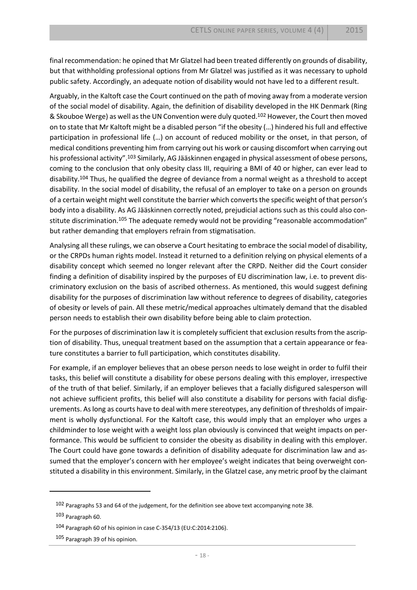final recommendation: he opined that Mr Glatzel had been treated differently on grounds of disability, but that withholding professional options from Mr Glatzel was justified as it was necessary to uphold public safety. Accordingly, an adequate notion of disability would not have led to a different result.

Arguably, in the Kaltoft case the Court continued on the path of moving away from a moderate version of the social model of disability. Again, the definition of disability developed in the HK Denmark (Ring & Skouboe Werge) as well as the UN Convention were duly quoted.<sup>102</sup> However, the Court then moved on to state that Mr Kaltoft might be a disabled person "if the obesity (…) hindered his full and effective participation in professional life (…) on account of reduced mobility or the onset, in that person, of medical conditions preventing him from carrying out his work or causing discomfort when carrying out his professional activity".<sup>103</sup> Similarly, AG Jääskinnen engaged in physical assessment of obese persons, coming to the conclusion that only obesity class III, requiring a BMI of 40 or higher, can ever lead to disability.<sup>104</sup> Thus, he qualified the degree of deviance from a normal weight as a threshold to accept disability. In the social model of disability, the refusal of an employer to take on a person on grounds of a certain weight might well constitute the barrier which converts the specific weight of that person's body into a disability. As AG Jääskinnen correctly noted, prejudicial actions such as this could also constitute discrimination.<sup>105</sup> The adequate remedy would not be providing "reasonable accommodation" but rather demanding that employers refrain from stigmatisation.

Analysing all these rulings, we can observe a Court hesitating to embrace the social model of disability, or the CRPDs human rights model. Instead it returned to a definition relying on physical elements of a disability concept which seemed no longer relevant after the CRPD. Neither did the Court consider finding a definition of disability inspired by the purposes of EU discrimination law, i.e. to prevent discriminatory exclusion on the basis of ascribed otherness. As mentioned, this would suggest defining disability for the purposes of discrimination law without reference to degrees of disability, categories of obesity or levels of pain. All these metric/medical approaches ultimately demand that the disabled person needs to establish their own disability before being able to claim protection.

For the purposes of discrimination law it is completely sufficient that exclusion results from the ascription of disability. Thus, unequal treatment based on the assumption that a certain appearance or feature constitutes a barrier to full participation, which constitutes disability.

For example, if an employer believes that an obese person needs to lose weight in order to fulfil their tasks, this belief will constitute a disability for obese persons dealing with this employer, irrespective of the truth of that belief. Similarly, if an employer believes that a facially disfigured salesperson will not achieve sufficient profits, this belief will also constitute a disability for persons with facial disfigurements. As long as courts have to deal with mere stereotypes, any definition of thresholds of impairment is wholly dysfunctional. For the Kaltoft case, this would imply that an employer who urges a childminder to lose weight with a weight loss plan obviously is convinced that weight impacts on performance. This would be sufficient to consider the obesity as disability in dealing with this employer. The Court could have gone towards a definition of disability adequate for discrimination law and assumed that the employer's concern with her employee's weight indicates that being overweight constituted a disability in this environment. Similarly, in the Glatzel case, any metric proof by the claimant

<sup>102</sup> Paragraphs 53 and 64 of the judgement, for the definition see above text accompanying note [38.](#page-7-0)

<sup>103</sup> Paragraph 60.

<sup>104</sup> Paragraph 60 of his opinion in case C-354/13 (EU:C:2014:2106).

<sup>105</sup> Paragraph 39 of his opinion.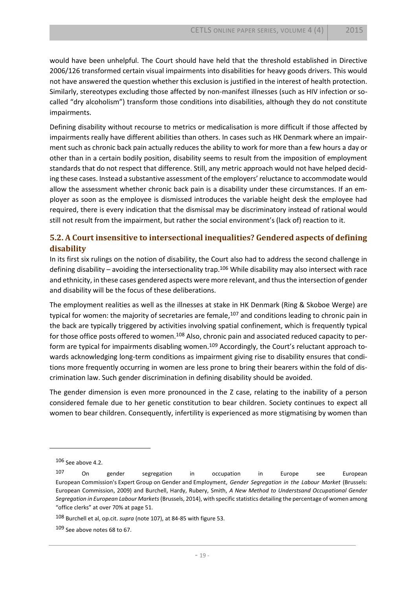would have been unhelpful. The Court should have held that the threshold established in Directive 2006/126 transformed certain visual impairments into disabilities for heavy goods drivers. This would not have answered the question whether this exclusion is justified in the interest of health protection. Similarly, stereotypes excluding those affected by non-manifest illnesses (such as HIV infection or socalled "dry alcoholism") transform those conditions into disabilities, although they do not constitute impairments.

Defining disability without recourse to metrics or medicalisation is more difficult if those affected by impairments really have different abilities than others. In cases such as HK Denmark where an impairment such as chronic back pain actually reduces the ability to work for more than a few hours a day or other than in a certain bodily position, disability seems to result from the imposition of employment standards that do not respect that difference. Still, any metric approach would not have helped deciding these cases. Instead a substantive assessment of the employers' reluctance to accommodate would allow the assessment whether chronic back pain is a disability under these circumstances. If an employer as soon as the employee is dismissed introduces the variable height desk the employee had required, there is every indication that the dismissal may be discriminatory instead of rational would still not result from the impairment, but rather the social environment's (lack of) reaction to it.

#### **5.2. A Court insensitive to intersectional inequalities? Gendered aspects of defining disability**

In its first six rulings on the notion of disability, the Court also had to address the second challenge in defining disability – avoiding the intersectionality trap.<sup>106</sup> While disability may also intersect with race and ethnicity, in these cases gendered aspects were more relevant, and thus the intersection of gender and disability will be the focus of these deliberations.

<span id="page-19-0"></span>The employment realities as well as the illnesses at stake in HK Denmark (Ring & Skoboe Werge) are typical for women: the majority of secretaries are female,<sup>107</sup> and conditions leading to chronic pain in the back are typically triggered by activities involving spatial confinement, which is frequently typical for those office posts offered to women.<sup>108</sup> Also, chronic pain and associated reduced capacity to perform are typical for impairments disabling women.<sup>109</sup> Accordingly, the Court's reluctant approach towards acknowledging long-term conditions as impairment giving rise to disability ensures that conditions more frequently occurring in women are less prone to bring their bearers within the fold of discrimination law. Such gender discrimination in defining disability should be avoided.

The gender dimension is even more pronounced in the Z case, relating to the inability of a person considered female due to her genetic constitution to bear children. Society continues to expect all women to bear children. Consequently, infertility is experienced as more stigmatising by women than

l

108 Burchell et al, op.cit. *supra* (not[e 107\)](#page-19-0), at 84-85 with figure 53.

<sup>106</sup> See above 4.2.

<sup>107</sup> On gender segregation in occupation in Europe see European European Commission's Expert Group on Gender and Employment, *Gender Segregation in the Labour Market* (Brussels: European Commission, 2009) and Burchell, Hardy, Rubery, Smith, *A New Method to Understsand Occupational Gender Segregation in European Labour Markets* (Brussels, 2014), with specific statistics detailing the percentage of women among "office clerks" at over 70% at page 51.

<sup>109</sup> See above note[s 68](#page-11-1) t[o 67.](#page-11-2)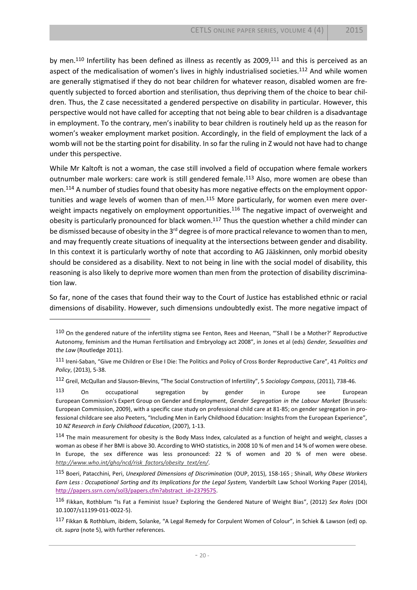by men.<sup>110</sup> Infertility has been defined as illness as recently as 2009,<sup>111</sup> and this is perceived as an aspect of the medicalisation of women's lives in highly industrialised societies.<sup>112</sup> And while women are generally stigmatised if they do not bear children for whatever reason, disabled women are frequently subjected to forced abortion and sterilisation, thus depriving them of the choice to bear children. Thus, the Z case necessitated a gendered perspective on disability in particular. However, this perspective would not have called for accepting that not being able to bear children is a disadvantage in employment. To the contrary, men's inability to bear children is routinely held up as the reason for women's weaker employment market position. Accordingly, in the field of employment the lack of a womb will not be the starting point for disability. In so far the ruling in Z would not have had to change under this perspective.

While Mr Kaltoft is not a woman, the case still involved a field of occupation where female workers outnumber male workers: care work is still gendered female.<sup>113</sup> Also, more women are obese than men.<sup>114</sup> A number of studies found that obesity has more negative effects on the employment opportunities and wage levels of women than of men.<sup>115</sup> More particularly, for women even mere overweight impacts negatively on employment opportunities.<sup>116</sup> The negative impact of overweight and obesity is particularly pronounced for black women.<sup>117</sup> Thus the question whether a child minder can be dismissed because of obesity in the 3<sup>rd</sup> degree is of more practical relevance to women than to men, and may frequently create situations of inequality at the intersections between gender and disability. In this context it is particularly worthy of note that according to AG Jääskinnen, only morbid obesity should be considered as a disability. Next to not being in line with the social model of disability, this reasoning is also likely to deprive more women than men from the protection of disability discrimination law.

So far, none of the cases that found their way to the Court of Justice has established ethnic or racial dimensions of disability. However, such dimensions undoubtedly exist. The more negative impact of

 $\overline{\phantom{a}}$ 

112 Greil, McQullan and Slauson-Blevins, "The Social Construction of Infertility", 5 *Sociology Compass*, (2011), 738-46.

113 On occupational segregation by gender in Europe see European European Commission's Expert Group on Gender and Employment, *Gender Segregation in the Labour Market* (Brussels: European Commission, 2009), with a specific case study on professional child care at 81-85; on gender segregation in professional childcare see also Peeters, "Including Men in Early Childhood Education: Insights from the European Experience", 10 *NZ Research in Early Childhood Education*, (2007), 1-13.

114 The main measurement for obesity is the Body Mass Index, calculated as a function of height and weight, classes a woman as obese if her BMI is above 30. According to WHO statistics, in 2008 10 % of men and 14 % of women were obese. In Europe, the sex difference was less pronounced: 22 % of women and 20 % of men were obese. *[http://www.who.int/gho/ncd/risk\\_factors/obesity\\_text/en/](http://www.who.int/gho/ncd/risk_factors/obesity_text/en/)*.

115 Boeri, Patacchini, Peri, *Unexplored Dimensions of Discrimination* (OUP, 2015), 158-165 ; Shinall, *Why Obese Workers Earn Less : Occupational Sorting and Its Implications for the Legal System,* Vanderbilt Law School Working Paper (2014), [http://papers.ssrn.com/sol3/papers.cfm?abstract\\_id=2379575.](http://papers.ssrn.com/sol3/papers.cfm?abstract_id=2379575)

117 Fikkan & Rothblum, ibidem, Solanke, "A Legal Remedy for Corpulent Women of Colour", in Schiek & Lawson (ed) op. cit. *supra* (note [5\)](#page-1-0), with further references.

<sup>110</sup> On the gendered nature of the infertility stigma see Fenton, Rees and Heenan, "'Shall I be a Mother?' Reproductive Autonomy, feminism and the Human Fertilisation and Embryology act 2008", in Jones et al (eds) *Gender, Sexualities and the Law* (Routledge 2011).

<sup>111</sup> Ireni-Saban, "Give me Children or Else I Die: The Politics and Policy of Cross Border Reproductive Care", 41 *Politics and Policy*, (2013), 5-38.

<sup>116</sup> Fikkan, Rothblum "Is Fat a Feminist Issue? Exploring the Gendered Nature of Weight Bias", (2012) *Sex Roles* (DOI 10.1007/s11199-011-0022-5).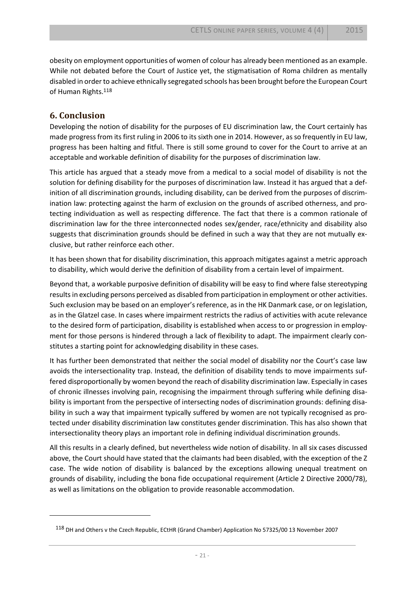obesity on employment opportunities of women of colour has already been mentioned as an example. While not debated before the Court of Justice yet, the stigmatisation of Roma children as mentally disabled in order to achieve ethnically segregated schools has been brought before the European Court of Human Rights.<sup>118</sup>

#### **6. Conclusion**

 $\overline{\phantom{a}}$ 

Developing the notion of disability for the purposes of EU discrimination law, the Court certainly has made progress from its first ruling in 2006 to its sixth one in 2014. However, as so frequently in EU law, progress has been halting and fitful. There is still some ground to cover for the Court to arrive at an acceptable and workable definition of disability for the purposes of discrimination law.

This article has argued that a steady move from a medical to a social model of disability is not the solution for defining disability for the purposes of discrimination law. Instead it has argued that a definition of all discrimination grounds, including disability, can be derived from the purposes of discrimination law: protecting against the harm of exclusion on the grounds of ascribed otherness, and protecting individuation as well as respecting difference. The fact that there is a common rationale of discrimination law for the three interconnected nodes sex/gender, race/ethnicity and disability also suggests that discrimination grounds should be defined in such a way that they are not mutually exclusive, but rather reinforce each other.

It has been shown that for disability discrimination, this approach mitigates against a metric approach to disability, which would derive the definition of disability from a certain level of impairment.

Beyond that, a workable purposive definition of disability will be easy to find where false stereotyping results in excluding persons perceived as disabled from participation in employment or other activities. Such exclusion may be based on an employer's reference, as in the HK Danmark case, or on legislation, as in the Glatzel case. In cases where impairment restricts the radius of activities with acute relevance to the desired form of participation, disability is established when access to or progression in employment for those persons is hindered through a lack of flexibility to adapt. The impairment clearly constitutes a starting point for acknowledging disability in these cases.

It has further been demonstrated that neither the social model of disability nor the Court's case law avoids the intersectionality trap. Instead, the definition of disability tends to move impairments suffered disproportionally by women beyond the reach of disability discrimination law. Especially in cases of chronic illnesses involving pain, recognising the impairment through suffering while defining disability is important from the perspective of intersecting nodes of discrimination grounds: defining disability in such a way that impairment typically suffered by women are not typically recognised as protected under disability discrimination law constitutes gender discrimination. This has also shown that intersectionality theory plays an important role in defining individual discrimination grounds.

All this results in a clearly defined, but nevertheless wide notion of disability. In all six cases discussed above, the Court should have stated that the claimants had been disabled, with the exception of the Z case. The wide notion of disability is balanced by the exceptions allowing unequal treatment on grounds of disability, including the bona fide occupational requirement (Article 2 Directive 2000/78), as well as limitations on the obligation to provide reasonable accommodation.

<sup>118</sup> DH and Others v the Czech Republic, ECtHR (Grand Chamber) Application No 57325/00 13 November 2007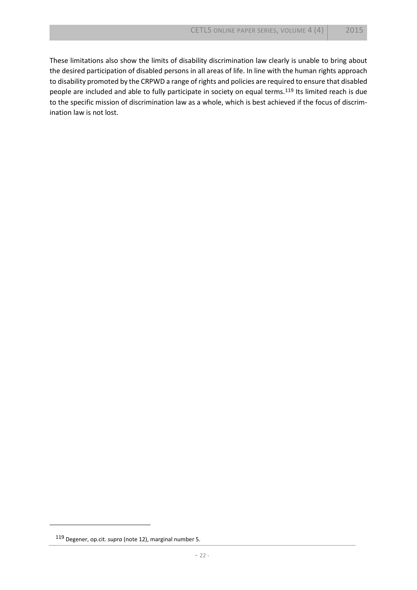These limitations also show the limits of disability discrimination law clearly is unable to bring about the desired participation of disabled persons in all areas of life. In line with the human rights approach to disability promoted by the CRPWD a range of rights and policies are required to ensure that disabled people are included and able to fully participate in society on equal terms.<sup>119</sup> Its limited reach is due to the specific mission of discrimination law as a whole, which is best achieved if the focus of discrimination law is not lost.

l

<sup>119</sup> Degener, op.cit. *supra* (not[e 12\)](#page-3-2), marginal number 5.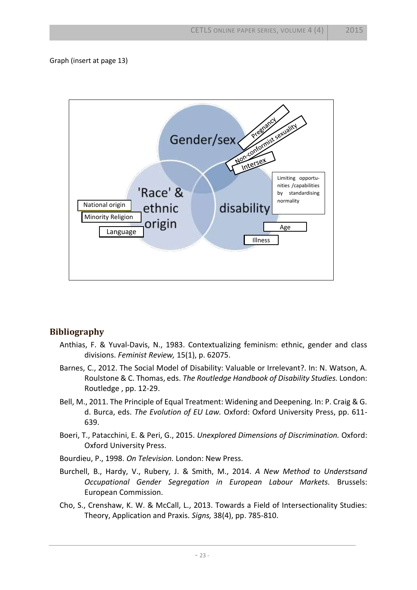Graph (insert at page 13)



### **Bibliography**

- Anthias, F. & Yuval-Davis, N., 1983. Contextualizing feminism: ethnic, gender and class divisions. *Feminist Review,* 15(1), p. 62075.
- Barnes, C., 2012. The Social Model of Disability: Valuable or Irrelevant?. In: N. Watson, A. Roulstone & C. Thomas, eds. *The Routledge Handbook of Disability Studies.* London: Routledge , pp. 12-29.
- Bell, M., 2011. The Principle of Equal Treatment: Widening and Deepening. In: P. Craig & G. d. Burca, eds. *The Evolution of EU Law.* Oxford: Oxford University Press, pp. 611- 639.
- Boeri, T., Patacchini, E. & Peri, G., 2015. *Unexplored Dimensions of Discrimination.* Oxford: Oxford University Press.
- Bourdieu, P., 1998. *On Television.* London: New Press.
- Burchell, B., Hardy, V., Rubery, J. & Smith, M., 2014. *A New Method to Understsand Occupational Gender Segregation in European Labour Markets.* Brussels: European Commission.
- Cho, S., Crenshaw, K. W. & McCall, L., 2013. Towards a Field of Intersectionality Studies: Theory, Application and Praxis. *Signs,* 38(4), pp. 785-810.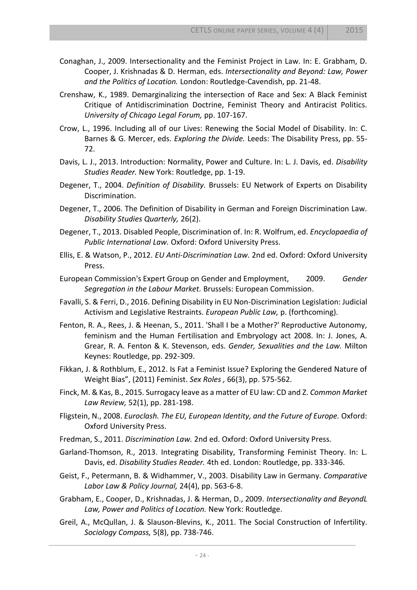- Conaghan, J., 2009. Intersectionality and the Feminist Project in Law. In: E. Grabham, D. Cooper, J. Krishnadas & D. Herman, eds. *Intersectionality and Beyond: Law, Power and the Politics of Location.* London: Routledge-Cavendish, pp. 21-48.
- Crenshaw, K., 1989. Demarginalizing the intersection of Race and Sex: A Black Feminist Critique of Antidiscrimination Doctrine, Feminist Theory and Antiracist Politics. *University of Chicago Legal Forum,* pp. 107-167.
- Crow, L., 1996. Including all of our Lives: Renewing the Social Model of Disability. In: C. Barnes & G. Mercer, eds. *Exploring the Divide.* Leeds: The Disability Press, pp. 55- 72.
- Davis, L. J., 2013. Introduction: Normality, Power and Culture. In: L. J. Davis, ed. *Disability Studies Reader.* New York: Routledge, pp. 1-19.
- Degener, T., 2004. *Definition of Disability.* Brussels: EU Network of Experts on Disability Discrimination.
- Degener, T., 2006. The Definition of Disability in German and Foreign Discrimination Law. *Disability Studies Quarterly,* 26(2).
- Degener, T., 2013. Disabled People, Discrimination of. In: R. Wolfrum, ed. *Encyclopaedia of Public International Law.* Oxford: Oxford University Press.
- Ellis, E. & Watson, P., 2012. *EU Anti-Discrimination Law.* 2nd ed. Oxford: Oxford University Press.
- European Commission's Expert Group on Gender and Employment, 2009. *Gender Segregation in the Labour Market.* Brussels: European Commission.
- Favalli, S. & Ferri, D., 2016. Defining Disability in EU Non-Discrimination Legislation: Judicial Activism and Legislative Restraints. *European Public Law,* p. (forthcoming).
- Fenton, R. A., Rees, J. & Heenan, S., 2011. 'Shall I be a Mother?' Reproductive Autonomy, feminism and the Human Fertilisation and Embryology act 2008. In: J. Jones, A. Grear, R. A. Fenton & K. Stevenson, eds. *Gender, Sexualities and the Law.* Milton Keynes: Routledge, pp. 292-309.
- Fikkan, J. & Rothblum, E., 2012. Is Fat a Feminist Issue? Exploring the Gendered Nature of Weight Bias", (2011) Feminist. *Sex Roles ,* 66(3), pp. 575-562.
- Finck, M. & Kas, B., 2015. Surrogacy leave as a matter of EU law: CD and Z. *Common Market Law Review,* 52(1), pp. 281-198.
- Fligstein, N., 2008. *Euroclash. The EU, European Identity, and the Future of Europe.* Oxford: Oxford University Press.
- Fredman, S., 2011. *Discrimination Law.* 2nd ed. Oxford: Oxford University Press.
- Garland-Thomson, R., 2013. Integrating Disability, Transforming Feminist Theory. In: L. Davis, ed. *Disability Studies Reader.* 4th ed. London: Routledge, pp. 333-346.
- Geist, F., Petermann, B. & Widhammer, V., 2003. Disability Law in Germany. *Comparative Labor Law & Policy Journal,* 24(4), pp. 563-6-8.
- Grabham, E., Cooper, D., Krishnadas, J. & Herman, D., 2009. *Intersectionality and BeyondL Law, Power and Politics of Location.* New York: Routledge.
- Greil, A., McQullan, J. & Slauson-Blevins, K., 2011. The Social Construction of Infertility. *Sociology Compass,* 5(8), pp. 738-746.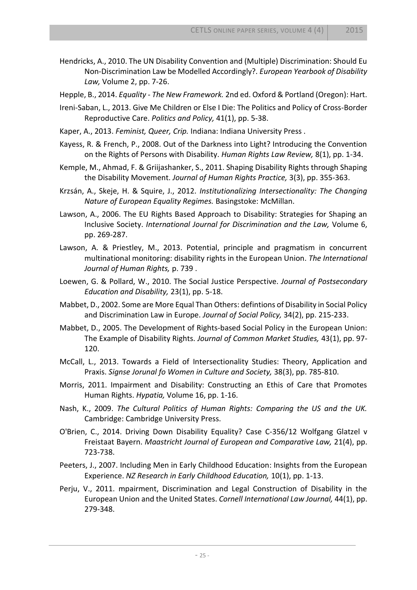- Hendricks, A., 2010. The UN Disability Convention and (Multiple) Discrimination: Should Eu Non-Discrimination Law be Modelled Accordingly?. *European Yearbook of Disability Law,* Volume 2, pp. 7-26.
- Hepple, B., 2014. *Equality - The New Framework.* 2nd ed. Oxford & Portland (Oregon): Hart.
- Ireni-Saban, L., 2013. Give Me Children or Else I Die: The Politics and Policy of Cross-Border Reproductive Care. *Politics and Policy,* 41(1), pp. 5-38.
- Kaper, A., 2013. *Feminist, Queer, Crip.* Indiana: Indiana University Press .
- Kayess, R. & French, P., 2008. Out of the Darkness into Light? Introducing the Convention on the Rights of Persons with Disability. *Human Rights Law Review,* 8(1), pp. 1-34.
- Kemple, M., Ahmad, F. & Griijashanker, S., 2011. Shaping Disability Rights through Shaping the Disability Movement. *Journal of Human Rights Practice,* 3(3), pp. 355-363.
- Krzsán, A., Skeje, H. & Squire, J., 2012. *Institutionalizing Intersectionality: The Changing Nature of European Equality Regimes.* Basingstoke: McMillan.
- Lawson, A., 2006. The EU Rights Based Approach to Disability: Strategies for Shaping an Inclusive Society. *International Journal for Discrimination and the Law,* Volume 6, pp. 269-287.
- Lawson, A. & Priestley, M., 2013. Potential, principle and pragmatism in concurrent multinational monitoring: disability rights in the European Union. *The International Journal of Human Rights,* p. 739 .
- Loewen, G. & Pollard, W., 2010. The Social Justice Perspective. *Journal of Postsecondary Education and Disability,* 23(1), pp. 5-18.
- Mabbet, D., 2002. Some are More Equal Than Others: defintions of Disability in Social Policy and Discrimination Law in Europe. *Journal of Social Policy,* 34(2), pp. 215-233.
- Mabbet, D., 2005. The Development of Rights-based Social Policy in the European Union: The Example of Disability Rights. *Journal of Common Market Studies,* 43(1), pp. 97- 120.
- McCall, L., 2013. Towards a Field of Intersectionality Studies: Theory, Application and Praxis. *Signse Jorunal fo Women in Culture and Society,* 38(3), pp. 785-810.
- Morris, 2011. Impairment and Disability: Constructing an Ethis of Care that Promotes Human Rights. *Hypatia,* Volume 16, pp. 1-16.
- Nash, K., 2009. *The Cultural Politics of Human Rights: Comparing the US and the UK.*  Cambridge: Cambridge University Press.
- O'Brien, C., 2014. Driving Down Disability Equality? Case C-356/12 Wolfgang Glatzel v Freistaat Bayern. *Maastricht Journal of European and Comparative Law,* 21(4), pp. 723-738.
- Peeters, J., 2007. Including Men in Early Childhood Education: Insights from the European Experience. *NZ Research in Early Childhood Education,* 10(1), pp. 1-13.
- Perju, V., 2011. mpairment, Discrimination and Legal Construction of Disability in the European Union and the United States. *Cornell International Law Journal,* 44(1), pp. 279-348.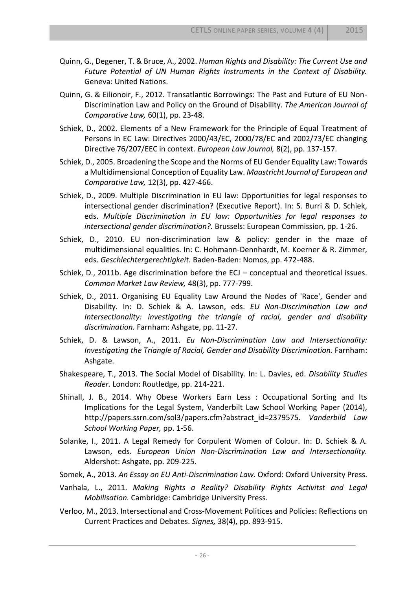- Quinn, G., Degener, T. & Bruce, A., 2002. *Human Rights and Disability: The Current Use and Future Potential of UN Human Rights Instruments in the Context of Disability.*  Geneva: United Nations.
- Quinn, G. & Eilionoir, F., 2012. Transatlantic Borrowings: The Past and Future of EU Non-Discrimination Law and Policy on the Ground of Disability. *The American Journal of Comparative Law,* 60(1), pp. 23-48.
- Schiek, D., 2002. Elements of a New Framework for the Principle of Equal Treatment of Persons in EC Law: Directives 2000/43/EC, 2000/78/EC and 2002/73/EC changing Directive 76/207/EEC in context. *European Law Journal,* 8(2), pp. 137-157.
- Schiek, D., 2005. Broadening the Scope and the Norms of EU Gender Equality Law: Towards a Multidimensional Conception of Equality Law. *Maastricht Journal of European and Comparative Law,* 12(3), pp. 427-466.
- Schiek, D., 2009. Multiple Discrimination in EU law: Opportunities for legal responses to intersectional gender discrimination? (Executive Report). In: S. Burri & D. Schiek, eds. *Multiple Discrimination in EU law: Opportunities for legal responses to intersectional gender discrimination?.* Brussels: European Commission, pp. 1-26.
- Schiek, D., 2010. EU non-discrimination law & policy: gender in the maze of multidimensional equalities. In: C. Hohmann-Dennhardt, M. Koerner & R. Zimmer, eds. *Geschlechtergerechtigkeit.* Baden-Baden: Nomos, pp. 472-488.
- Schiek, D., 2011b. Age discrimination before the ECJ conceptual and theoretical issues. *Common Market Law Review,* 48(3), pp. 777-799.
- Schiek, D., 2011. Organising EU Equality Law Around the Nodes of 'Race', Gender and Disability. In: D. Schiek & A. Lawson, eds. *EU Non-Discrimination Law and Intersectionality: investigating the triangle of racial, gender and disability discrimination.* Farnham: Ashgate, pp. 11-27.
- Schiek, D. & Lawson, A., 2011. *Eu Non-Discrimination Law and Intersectionality: Investigating the Triangle of Racial, Gender and Disability Discrimination. Farnham:* Ashgate.
- Shakespeare, T., 2013. The Social Model of Disability. In: L. Davies, ed. *Disability Studies Reader.* London: Routledge, pp. 214-221.
- Shinall, J. B., 2014. Why Obese Workers Earn Less : Occupational Sorting and Its Implications for the Legal System, Vanderbilt Law School Working Paper (2014), http://papers.ssrn.com/sol3/papers.cfm?abstract\_id=2379575. *Vanderbild Law School Working Paper,* pp. 1-56.
- Solanke, I., 2011. A Legal Remedy for Corpulent Women of Colour. In: D. Schiek & A. Lawson, eds. *European Union Non-Discrimination Law and Intersectionality.*  Aldershot: Ashgate, pp. 209-225.
- Somek, A., 2013. *An Essay on EU Anti-Discrimination Law.* Oxford: Oxford University Press.
- Vanhala, L., 2011. *Making Rights a Reality? Disability Rights Activitst and Legal Mobilisation.* Cambridge: Cambridge University Press.
- Verloo, M., 2013. Intersectional and Cross-Movement Politices and Policies: Reflections on Current Practices and Debates. *Signes,* 38(4), pp. 893-915.